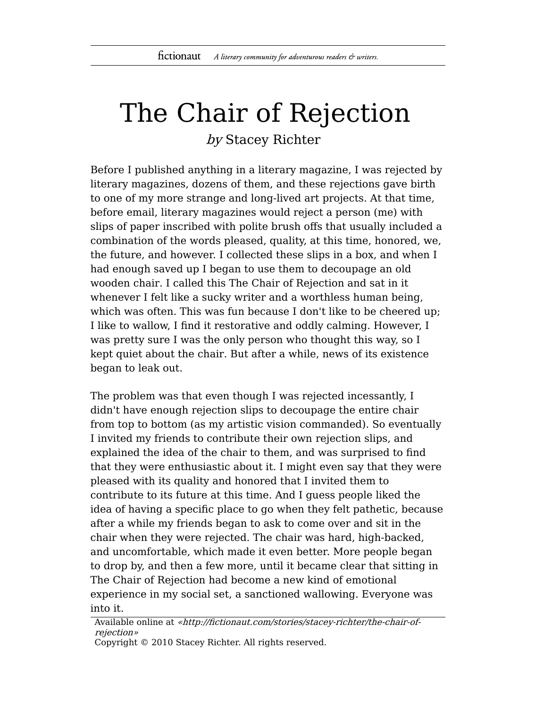## The Chair of Rejection

by Stacey Richter

Before I published anything in a literary magazine, I was rejected by literary magazines, dozens of them, and these rejections gave birth to one of my more strange and long-lived art projects. At that time, before email, literary magazines would reject a person (me) with slips of paper inscribed with polite brush offs that usually included a combination of the words pleased, quality, at this time, honored, we, the future, and however. I collected these slips in a box, and when I had enough saved up I began to use them to decoupage an old wooden chair. I called this The Chair of Rejection and sat in it whenever I felt like a sucky writer and a worthless human being, which was often. This was fun because I don't like to be cheered up; I like to wallow, I find it restorative and oddly calming. However, I was pretty sure I was the only person who thought this way, so I kept quiet about the chair. But after a while, news of its existence began to leak out.

The problem was that even though I was rejected incessantly, I didn't have enough rejection slips to decoupage the entire chair from top to bottom (as my artistic vision commanded). So eventually I invited my friends to contribute their own rejection slips, and explained the idea of the chair to them, and was surprised to find that they were enthusiastic about it. I might even say that they were pleased with its quality and honored that I invited them to contribute to its future at this time. And I guess people liked the idea of having a specific place to go when they felt pathetic, because after a while my friends began to ask to come over and sit in the chair when they were rejected. The chair was hard, high-backed, and uncomfortable, which made it even better. More people began to drop by, and then a few more, until it became clear that sitting in The Chair of Rejection had become a new kind of emotional experience in my social set, a sanctioned wallowing. Everyone was into it.

Available online at «http://fictionaut.com/stories/stacey-richter/the-chair-ofrejection» Copyright © 2010 Stacey Richter. All rights reserved.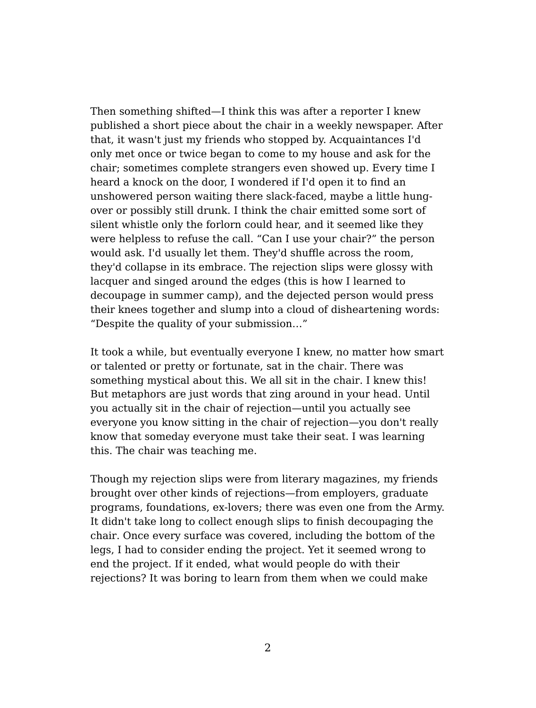Then something shifted—I think this was after a reporter I knew published a short piece about the chair in a weekly newspaper. After that, it wasn't just my friends who stopped by. Acquaintances I'd only met once or twice began to come to my house and ask for the chair; sometimes complete strangers even showed up. Every time I heard a knock on the door, I wondered if I'd open it to find an unshowered person waiting there slack-faced, maybe a little hungover or possibly still drunk. I think the chair emitted some sort of silent whistle only the forlorn could hear, and it seemed like they were helpless to refuse the call. "Can I use your chair?" the person would ask. I'd usually let them. They'd shuffle across the room, they'd collapse in its embrace. The rejection slips were glossy with lacquer and singed around the edges (this is how I learned to decoupage in summer camp), and the dejected person would press their knees together and slump into a cloud of disheartening words: "Despite the quality of your submission…"

It took a while, but eventually everyone I knew, no matter how smart or talented or pretty or fortunate, sat in the chair. There was something mystical about this. We all sit in the chair. I knew this! But metaphors are just words that zing around in your head. Until you actually sit in the chair of rejection—until you actually see everyone you know sitting in the chair of rejection—you don't really know that someday everyone must take their seat. I was learning this. The chair was teaching me.

Though my rejection slips were from literary magazines, my friends brought over other kinds of rejections—from employers, graduate programs, foundations, ex-lovers; there was even one from the Army. It didn't take long to collect enough slips to finish decoupaging the chair. Once every surface was covered, including the bottom of the legs, I had to consider ending the project. Yet it seemed wrong to end the project. If it ended, what would people do with their rejections? It was boring to learn from them when we could make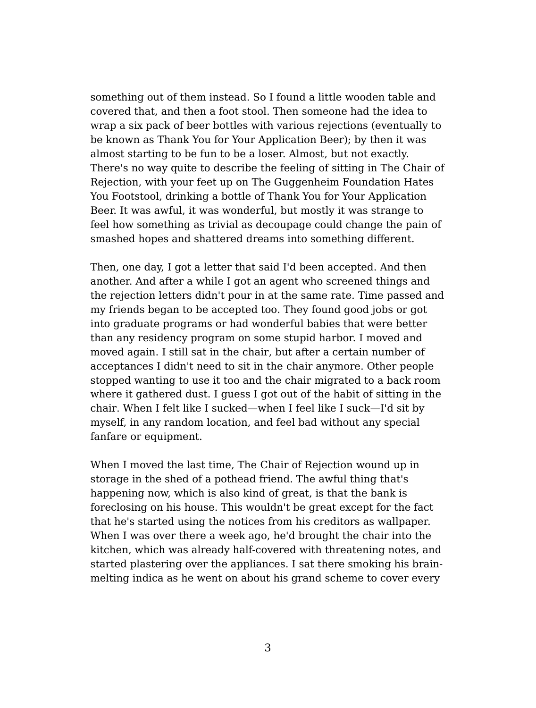something out of them instead. So I found a little wooden table and covered that, and then a foot stool. Then someone had the idea to wrap a six pack of beer bottles with various rejections (eventually to be known as Thank You for Your Application Beer); by then it was almost starting to be fun to be a loser. Almost, but not exactly. There's no way quite to describe the feeling of sitting in The Chair of Rejection, with your feet up on The Guggenheim Foundation Hates You Footstool, drinking a bottle of Thank You for Your Application Beer. It was awful, it was wonderful, but mostly it was strange to feel how something as trivial as decoupage could change the pain of smashed hopes and shattered dreams into something different.

Then, one day, I got a letter that said I'd been accepted. And then another. And after a while I got an agent who screened things and the rejection letters didn't pour in at the same rate. Time passed and my friends began to be accepted too. They found good jobs or got into graduate programs or had wonderful babies that were better than any residency program on some stupid harbor. I moved and moved again. I still sat in the chair, but after a certain number of acceptances I didn't need to sit in the chair anymore. Other people stopped wanting to use it too and the chair migrated to a back room where it gathered dust. I guess I got out of the habit of sitting in the chair. When I felt like I sucked—when I feel like I suck—I'd sit by myself, in any random location, and feel bad without any special fanfare or equipment.

When I moved the last time, The Chair of Rejection wound up in storage in the shed of a pothead friend. The awful thing that's happening now, which is also kind of great, is that the bank is foreclosing on his house. This wouldn't be great except for the fact that he's started using the notices from his creditors as wallpaper. When I was over there a week ago, he'd brought the chair into the kitchen, which was already half-covered with threatening notes, and started plastering over the appliances. I sat there smoking his brainmelting indica as he went on about his grand scheme to cover every